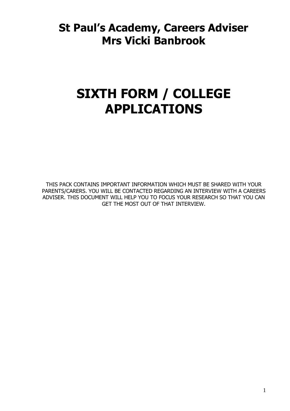# **St Paul's Academy, Careers Adviser Mrs Vicki Banbrook**

# **SIXTH FORM / COLLEGE APPLICATIONS**

THIS PACK CONTAINS IMPORTANT INFORMATION WHICH MUST BE SHARED WITH YOUR PARENTS/CARERS. YOU WILL BE CONTACTED REGARDING AN INTERVIEW WITH A CAREERS ADVISER. THIS DOCUMENT WILL HELP YOU TO FOCUS YOUR RESEARCH SO THAT YOU CAN GET THE MOST OUT OF THAT INTERVIEW.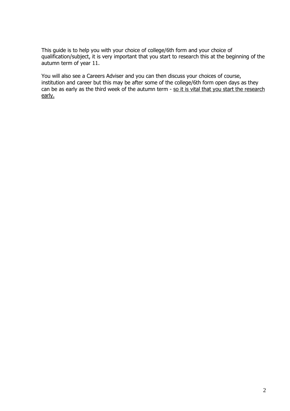This guide is to help you with your choice of college/6th form and your choice of qualification/subject, it is very important that you start to research this at the beginning of the autumn term of year 11.

You will also see a Careers Adviser and you can then discuss your choices of course, institution and career but this may be after some of the college/6th form open days as they can be as early as the third week of the autumn term - so it is vital that you start the research early.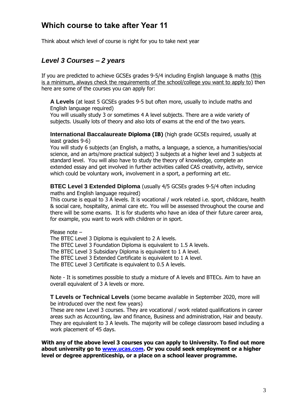# **Which course to take after Year 11**

Think about which level of course is right for you to take next year

### *Level 3 Courses – 2 years*

If you are predicted to achieve GCSEs grades 9-5/4 including English language & maths (this is a minimum, always check the requirements of the school/college you want to apply to) then here are some of the courses you can apply for:

**A Levels** (at least 5 GCSEs grades 9-5 but often more, usually to include maths and English language required)

You will usually study 3 or sometimes 4 A level subjects. There are a wide variety of subjects. Usually lots of theory and also lots of exams at the end of the two years.

**International Baccalaureate Diploma (IB)** (high grade GCSEs required, usually at least grades 9-6)

You will study 6 subjects (an English, a maths, a language, a science, a humanities/social science, and an arts/more practical subject) 3 subjects at a higher level and 3 subjects at standard level. You will also have to study the theory of knowledge, complete an extended essay and get involved in further activities called CAS creativity, activity, service which could be voluntary work, involvement in a sport, a performing art etc.

**BTEC Level 3 Extended Diploma** (usually 4/5 GCSEs grades 9-5/4 often including maths and English language required)

This course is equal to 3 A levels. It is vocational / work related i.e. sport, childcare, health & social care, hospitality, animal care etc. You will be assessed throughout the course and there will be some exams. It is for students who have an idea of their future career area, for example, you want to work with children or in sport.

Please note –

The BTEC Level 3 Diploma is equivalent to 2 A levels.

The BTEC Level 3 Foundation Diploma is equivalent to 1.5 A levels.

The BTEC Level 3 Subsidiary Diploma is equivalent to 1 A level.

The BTEC Level 3 Extended Certificate is equivalent to 1 A level.

The BTEC Level 3 Certificate is equivalent to 0.5 A levels.

Note - It is sometimes possible to study a mixture of A levels and BTECs. Aim to have an overall equivalent of 3 A levels or more.

**T Levels or Technical Levels** (some became available in September 2020, more will be introduced over the next few years)

These are new Level 3 courses. They are vocational / work related qualifications in career areas such as Accounting, law and finance, Business and administration, Hair and beauty. They are equivalent to 3 A levels. The majority will be college classroom based including a work placement of 45 days.

**With any of the above level 3 courses you can apply to University. To find out more about university go to [www.ucas.com.](http://www.ucas.com/) Or you could seek employment or a higher level or degree apprenticeship, or a place on a school leaver programme.**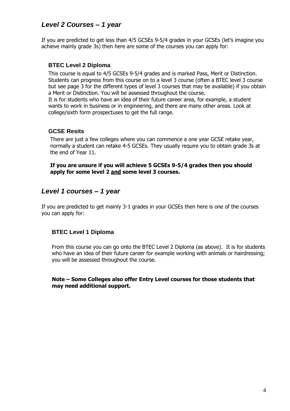### *Level 2 Courses – 1 year*

If you are predicted to get less than 4/5 GCSEs 9-5/4 grades in your GCSEs (let's imagine you achieve mainly grade 3s) then here are some of the courses you can apply for:

### **BTEC Level 2 Diploma**

This course is equal to 4/5 GCSEs 9-5/4 grades and is marked Pass, Merit or Distinction. Students can progress from this course on to a level 3 course (often a BTEC level 3 course but see page 3 for the different types of level 3 courses that may be available) if you obtain a Merit or Distinction. You will be assessed throughout the course.

It is for students who have an idea of their future career area, for example, a student wants to work in business or in engineering, and there are many other areas. Look at college/sixth form prospectuses to get the full range.

### **GCSE Resits**

There are just a few colleges where you can commence a one year GCSE retake year, normally a student can retake 4-5 GCSEs. They usually require you to obtain grade 3s at the end of Year 11.

**If you are unsure if you will achieve 5 GCSEs 9-5/4 grades then you should apply for some level 2 and some level 3 courses.**

### *Level 1 courses – 1 year*

If you are predicted to get mainly 3-1 grades in your GCSEs then here is one of the courses you can apply for:

### **BTEC Level 1 Diploma**

From this course you can go onto the BTEC Level 2 Diploma (as above). It is for students who have an idea of their future career for example working with animals or hairdressing; you will be assessed throughout the course.

#### **Note – Some Colleges also offer Entry Level courses for those students that may need additional support.**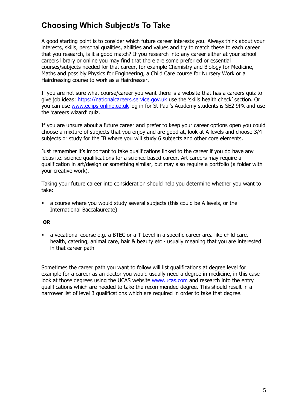# **Choosing Which Subject/s To Take**

A good starting point is to consider which future career interests you. Always think about your interests, skills, personal qualities, abilities and values and try to match these to each career that you research, is it a good match? If you research into any career either at your school careers library or online you may find that there are some preferred or essential courses/subjects needed for that career, for example Chemistry and Biology for Medicine, Maths and possibly Physics for Engineering, a Child Care course for Nursery Work or a Hairdressing course to work as a Hairdresser.

If you are not sure what course/career you want there is a website that has a careers quiz to give job ideas: [https://nationalcareers.service.gov.uk](https://nationalcareers.service.gov.uk/) use the 'skills health check' section. Or you can use [www.eclips-online.co.uk](http://www.eclips-online.co.uk/) log in for St Paul's Academy students is SE2 9PX and use the 'careers wizard' quiz.

If you are unsure about a future career and prefer to keep your career options open you could choose a mixture of subjects that you enjoy and are good at, look at A levels and choose 3/4 subjects or study for the IB where you will study 6 subjects and other core elements.

Just remember it's important to take qualifications linked to the career if you do have any ideas i.e. science qualifications for a science based career. Art careers may require a qualification in art/design or something similar, but may also require a portfolio (a folder with your creative work).

Taking your future career into consideration should help you determine whether you want to take:

 a course where you would study several subjects (this could be A levels, or the International Baccalaureate)

#### **OR**

 a vocational course e.g. a BTEC or a T Level in a specific career area like child care, health, catering, animal care, hair & beauty etc - usually meaning that you are interested in that career path

Sometimes the career path you want to follow will list qualifications at degree level for example for a career as an doctor you would usually need a degree in medicine, in this case look at those degrees using the UCAS website [www.ucas.com](http://www.ucas.com/) and research into the entry qualifications which are needed to take the recommended degree. This should result in a narrower list of level 3 qualifications which are required in order to take that degree.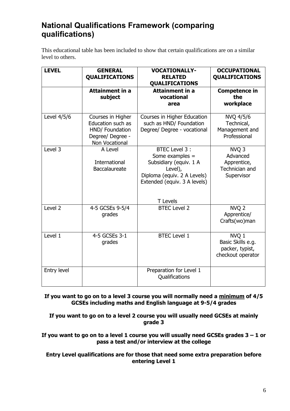# **National Qualifications Framework (comparing qualifications)**

This educational table has been included to show that certain qualifications are on a similar level to others.

| <b>LEVEL</b>       | <b>GENERAL</b><br><b>QUALIFICATIONS</b>                                                         | <b>VOCATIONALLY-</b><br><b>RELATED</b><br><b>QUALIFICATIONS</b>                                                                                         | <b>OCCUPATIONAL</b><br><b>QUALIFICATIONS</b>                                |
|--------------------|-------------------------------------------------------------------------------------------------|---------------------------------------------------------------------------------------------------------------------------------------------------------|-----------------------------------------------------------------------------|
|                    | <b>Attainment in a</b><br>subject                                                               | <b>Attainment in a</b><br>vocational<br>area                                                                                                            | <b>Competence in</b><br>the<br>workplace                                    |
| Level 4/5/6        | Courses in Higher<br>Education such as<br>HND/ Foundation<br>Degree/ Degree -<br>Non Vocational | Courses in Higher Education<br>such as HND/ Foundation<br>Degree/ Degree - vocational                                                                   | NVQ 4/5/6<br>Technical,<br>Management and<br>Professional                   |
| Level 3            | A Level<br><b>International</b><br>Baccalaureate                                                | BTEC Level 3:<br>Some examples =<br>Subsidiary (equiv. 1 A<br>Level),<br>Diploma (equiv. 2 A Levels)<br>Extended (equiv. 3 A levels)<br><b>T</b> Levels | NVQ <sub>3</sub><br>Advanced<br>Apprentice,<br>Technician and<br>Supervisor |
| Level <sub>2</sub> | 4-5 GCSEs 9-5/4<br>grades                                                                       | <b>BTEC Level 2</b>                                                                                                                                     | NVQ <sub>2</sub><br>Apprentice/<br>Crafts(wo)man                            |
| Level 1            | 4-5 GCSEs 3-1<br>grades                                                                         | <b>BTEC Level 1</b>                                                                                                                                     | NVQ 1<br>Basic Skills e.g.<br>packer, typist,<br>checkout operator          |
| Entry level        |                                                                                                 | Preparation for Level 1<br>Qualifications                                                                                                               |                                                                             |

**If you want to go on to a level 3 course you will normally need a minimum of 4/5 GCSEs including maths and English language at 9-5/4 grades**

**If you want to go on to a level 2 course you will usually need GCSEs at mainly grade 3**

**If you want to go on to a level 1 course you will usually need GCSEs grades 3 – 1 or pass a test and/or interview at the college**

**Entry Level qualifications are for those that need some extra preparation before entering Level 1**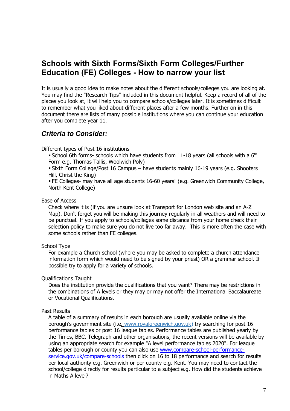## **Schools with Sixth Forms/Sixth Form Colleges/Further Education (FE) Colleges - How to narrow your list**

It is usually a good idea to make notes about the different schools/colleges you are looking at. You may find the "Research Tips" included in this document helpful. Keep a record of all of the places you look at, it will help you to compare schools/colleges later. It is sometimes difficult to remember what you liked about different places after a few months. Further on in this document there are lists of many possible institutions where you can continue your education after you complete year 11.

### *Criteria to Consider:*

Different types of Post 16 institutions

School 6th forms- schools which have students from 11-18 years (all schools with a  $6<sup>th</sup>$ Form e.g. Thomas Tallis, Woolwich Poly)

 Sixth Form College/Post 16 Campus – have students mainly 16-19 years (e.g. Shooters Hill, Christ the King)

 FE Colleges- may have all age students 16-60 years! (e.g. Greenwich Community College, North Kent College)

#### Ease of Access

Check where it is (if you are unsure look at Transport for London web site and an A-Z Map). Don't forget you will be making this journey regularly in all weathers and will need to be punctual. If you apply to schools/colleges some distance from your home check their selection policy to make sure you do not live too far away. This is more often the case with some schools rather than FE colleges.

### School Type

For example a Church school (where you may be asked to complete a church attendance information form which would need to be signed by your priest) OR a grammar school. If possible try to apply for a variety of schools.

Qualifications Taught

Does the institution provide the qualifications that you want? There may be restrictions in the combinations of A levels or they may or may not offer the International Baccalaureate or Vocational Qualifications.

### Past Results

A table of a summary of results in each borough are usually available online via the borough's government site (i.e. [www.royalgr](http://www.royalg/)eenwich.gov.uk) try searching for post 16 performance tables or post 16 league tables. Performance tables are published yearly by the Times, BBC, Telegraph and other organisations, the recent versions will be available by using an appropriate search for example "A level performance tables 2020". For league tables per borough or county you can also use [www.compare-school-performance](http://www.compare-school-performance-service.gov.uk/compare-schools)[service.gov.uk/compare-schools](http://www.compare-school-performance-service.gov.uk/compare-schools) then click on 16 to 18 performance and search for results per local authority e.g. Greenwich or per county e.g. Kent. You may need to contact the school/college directly for results particular to a subject e.g. How did the students achieve in Maths A level?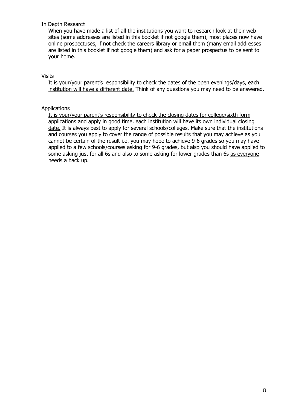#### In Depth Research

When you have made a list of all the institutions you want to research look at their web sites (some addresses are listed in this booklet if not google them), most places now have online prospectuses, if not check the careers library or email them (many email addresses are listed in this booklet if not google them) and ask for a paper prospectus to be sent to your home.

#### Visits

It is your/your parent's responsibility to check the dates of the open evenings/days, each institution will have a different date. Think of any questions you may need to be answered.

#### Applications

It is your/your parent's responsibility to check the closing dates for college/sixth form applications and apply in good time, each institution will have its own individual closing date. It is always best to apply for several schools/colleges. Make sure that the institutions and courses you apply to cover the range of possible results that you may achieve as you cannot be certain of the result i.e. you may hope to achieve 9-6 grades so you may have applied to a few schools/courses asking for 9-6 grades, but also you should have applied to some asking just for all 6s and also to some asking for lower grades than 6s as everyone needs a back up.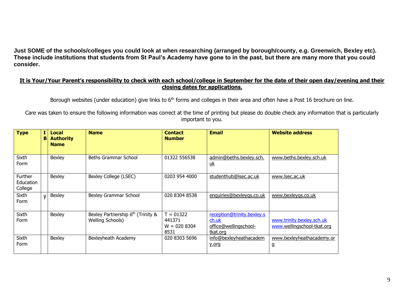**Just SOME of the schools/colleges you could look at when researching (arranged by borough/county, e.g. Greenwich, Bexley etc). These include institutions that students from St Paul's Academy have gone to in the past, but there are many more that you could consider.**

#### **It is Your/Your Parent's responsibility to check with each school/college in September for the date of their open day/evening and their closing dates for applications.**

Borough websites (under education) give links to 6<sup>th</sup> forms and colleges in their area and often have a Post 16 brochure on line.

Care was taken to ensure the following information was correct at the time of printing but please do double check any information that is particularly important to you.

| <b>Type</b>                     | в            | Local<br><b>Authority</b><br><b>Name</b> | <b>Name</b>                                                       | <b>Contact</b><br><b>Number</b>                 | <b>Email</b>                                                             | <b>Website address</b>                                  |
|---------------------------------|--------------|------------------------------------------|-------------------------------------------------------------------|-------------------------------------------------|--------------------------------------------------------------------------|---------------------------------------------------------|
| Sixth<br>Form                   |              | Bexley                                   | <b>Beths Grammar School</b>                                       | 01322 556538                                    | admin@beths.bexley.sch.<br><u>uk</u>                                     | www.beths.bexley.sch.uk                                 |
| Further<br>Education<br>College |              | Bexley                                   | Bexley College (LSEC)                                             | 0203 954 4000                                   | studenthub@lsec.ac.uk                                                    | www.lsec.ac.uk                                          |
| Sixth<br>Form                   | $\mathbf{v}$ | Bexley                                   | <b>Bexley Grammar School</b>                                      | 020 8304 8538                                   | enquiries@bexleygs.co.uk                                                 | www.bexleygs.co.uk                                      |
| Sixth<br>Form                   |              | Bexley                                   | Bexley Partnership 6 <sup>th</sup> (Trinity &<br>Welling Schools) | $T = 01322$<br>441371<br>$W = 020 8304$<br>8531 | reception@trinity.bexley.s<br>ch.uk<br>office@wellingschool-<br>tkat.org | www.trinity.bexley.sch.uk<br>www.wellingschool-tkat.org |
| Sixth<br>Form                   |              | Bexley                                   | Bexleyheath Academy                                               | 020 8303 5696                                   | info@bexleyheathacadem<br>y.org                                          | www.bexleyheathacademy.or<br>g                          |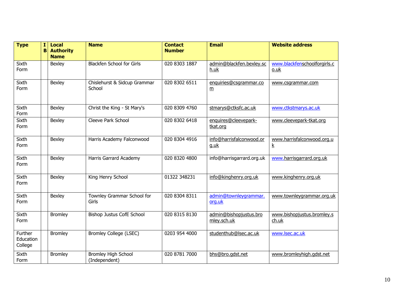| <b>Type</b>                     | 1<br>в | <b>Local</b><br><b>Authority</b><br><b>Name</b> | <b>Name</b>                                 | <b>Contact</b><br><b>Number</b> | <b>Email</b>                              | <b>Website address</b>                        |
|---------------------------------|--------|-------------------------------------------------|---------------------------------------------|---------------------------------|-------------------------------------------|-----------------------------------------------|
| Sixth<br>Form                   |        | Bexley                                          | <b>Blackfen School for Girls</b>            | 020 8303 1887                   | admin@blackfen.bexley.sc<br>h.uk          | www.blackfenschoolforgirls.c<br>o.uk          |
| Sixth<br>Form                   |        | Bexley                                          | Chislehurst & Sidcup Grammar<br>School      | 020 8302 6511                   | enquiries@csgrammar.co<br>$\underline{m}$ | www.csgrammar.com                             |
| Sixth<br>Form                   |        | <b>Bexley</b>                                   | Christ the King - St Mary's                 | 020 8309 4760                   | stmarys@ctksfc.ac.uk                      | www.ctkstmarys.ac.uk                          |
| Sixth<br>Form                   |        | Bexley                                          | Cleeve Park School                          | 020 8302 6418                   | enquires@cleevepark-<br>tkat.org          | www.cleevepark-tkat.org                       |
| Sixth<br>Form                   |        | Bexley                                          | Harris Academy Falconwood                   | 020 8304 4916                   | info@harrisfalconwood.or<br>g.uk          | www.harrisfalconwood.org.u<br>$\underline{k}$ |
| Sixth<br>Form                   |        | Bexley                                          | Harris Garrard Academy                      | 020 8320 4800                   | info@harrisgarrard.org.uk                 | www.harrisgarrard.org.uk                      |
| Sixth<br>Form                   |        | Bexley                                          | King Henry School                           | 01322 348231                    | info@kinghenry.org.uk                     | www.kinghenry.org.uk                          |
| Sixth<br>Form                   |        | <b>Bexley</b>                                   | Townley Grammar School for<br>Girls         | 020 8304 8311                   | admin@townleygrammar.<br>org.uk           | www.townleygrammar.org.uk                     |
| Sixth<br>Form                   |        | <b>Bromley</b>                                  | <b>Bishop Justus CofE School</b>            | 020 8315 8130                   | admin@bishopjustus.bro<br>mley.sch.uk     | www.bishopjustus.bromley.s<br>$ch.$ uk        |
| Further<br>Education<br>College |        | <b>Bromley</b>                                  | <b>Bromley College (LSEC)</b>               | 0203 954 4000                   | studenthub@lsec.ac.uk                     | www.lsec.ac.uk                                |
| Sixth<br>Form                   |        | <b>Bromley</b>                                  | <b>Bromley High School</b><br>(Independent) | 020 8781 7000                   | bhs@bro.gdst.net                          | www.bromleyhigh.gdst.net                      |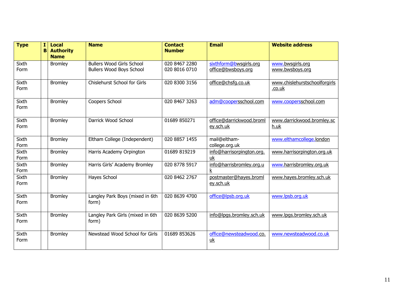| <b>Type</b>   | I <sub>1</sub><br>B | <b>Local</b><br><b>Authority</b><br><b>Name</b> | <b>Name</b>                                                  | <b>Contact</b><br><b>Number</b> | <b>Email</b>                                 | <b>Website address</b>                  |
|---------------|---------------------|-------------------------------------------------|--------------------------------------------------------------|---------------------------------|----------------------------------------------|-----------------------------------------|
| Sixth<br>Form |                     | <b>Bromley</b>                                  | <b>Bullers Wood Girls School</b><br>Bullers Wood Boys School | 020 8467 2280<br>020 8016 0710  | sixthform@bwsgirls.org<br>office@bwsboys.org | www.bwsgirls.org<br>www.bwsboys.org     |
| Sixth<br>Form |                     | <b>Bromley</b>                                  | Chislehurst School for Girls                                 | 020 8300 3156                   | office@chsfg.co.uk                           | www.chislehurstschoolforgirls<br>.co.uk |
| Sixth<br>Form |                     | <b>Bromley</b>                                  | Coopers School                                               | 020 8467 3263                   | adm@coopersschool.com                        | www.coopersschool.com                   |
| Sixth<br>Form |                     | <b>Bromley</b>                                  | Darrick Wood School                                          | 01689 850271                    | office@darrickwood.broml<br>ey.sch.uk        | www.darrickwood.bromley.sc<br>h.uk      |
| Sixth<br>Form |                     | <b>Bromley</b>                                  | Eltham College (Independent)                                 | 020 8857 1455                   | mail@eltham-<br>college.org.uk               | www.elthamcollege.london                |
| Sixth<br>Form |                     | <b>Bromley</b>                                  | Harris Academy Orpington                                     | 01689 819219                    | info@harrisorpington.org.<br><u>uk</u>       | www.harrisorpington.org.uk              |
| Sixth<br>Form |                     | <b>Bromley</b>                                  | Harris Girls' Academy Bromley                                | 020 8778 5917                   | info@harrisbromley.org.u<br>k                | www.harrisbromley.org.uk                |
| Sixth<br>Form |                     | <b>Bromley</b>                                  | Hayes School                                                 | 020 8462 2767                   | postmaster@hayes.broml<br>ey.sch.uk          | www.hayes.bromley.sch.uk                |
| Sixth<br>Form |                     | <b>Bromley</b>                                  | Langley Park Boys (mixed in 6th<br>form)                     | 020 8639 4700                   | office@lpsb.org.uk                           | www.lpsb.org.uk                         |
| Sixth<br>Form |                     | <b>Bromley</b>                                  | Langley Park Girls (mixed in 6th<br>form)                    | 020 8639 5200                   | info@lpgs.bromley.sch.uk                     | www.lpgs.bromley.sch.uk                 |
| Sixth<br>Form |                     | <b>Bromley</b>                                  | Newstead Wood School for Girls                               | 01689 853626                    | office@newsteadwood.co.<br><u>uk</u>         | www.newsteadwood.co.uk                  |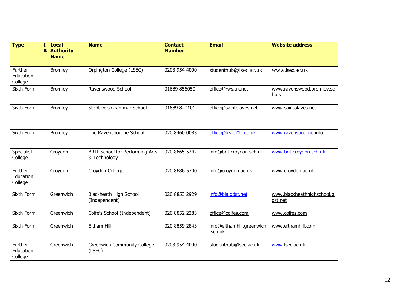| <b>Type</b>                     | $\mathbf{I}$<br>в | <b>Local</b><br><b>Authority</b><br><b>Name</b> | <b>Name</b>                                            | <b>Contact</b><br><b>Number</b> | <b>Email</b>                         | <b>Website address</b>                |
|---------------------------------|-------------------|-------------------------------------------------|--------------------------------------------------------|---------------------------------|--------------------------------------|---------------------------------------|
| Further<br>Education<br>College |                   | <b>Bromley</b>                                  | Orpington College (LSEC)                               | 0203 954 4000                   | studenthub@lsec.ac.uk                | www.lsec.ac.uk                        |
| Sixth Form                      |                   | <b>Bromley</b>                                  | Ravenswood School                                      | 01689 856050                    | office@rws.uk.net                    | www.ravenswood.bromley.sc<br>h.uk     |
| Sixth Form                      |                   | <b>Bromley</b>                                  | St Olave's Grammar School                              | 01689 820101                    | office@saintolaves.net               | www.saintolaves.net                   |
| Sixth Form                      |                   | <b>Bromley</b>                                  | The Ravensbourne School                                | 020 8460 0083                   | office@trs.e21c.co.uk                | www.ravensbourne.info                 |
| Specialist<br>College           |                   | Croydon                                         | <b>BRIT School for Performing Arts</b><br>& Technology | 020 8665 5242                   | info@brit.croydon.sch.uk             | www.brit.croydon.sch.uk               |
| Further<br>Education<br>College |                   | Croydon                                         | Croydon College                                        | 020 8686 5700                   | info@croydon.ac.uk                   | www.croydon.ac.uk                     |
| Sixth Form                      |                   | Greenwich                                       | Blackheath High School<br>(Independent)                | 020 8853 2929                   | info@bla.gdst.net                    | www.blackheathhighschool.g<br>dst.net |
| Sixth Form                      |                   | Greenwich                                       | Colfe's School (Independent)                           | 020 8852 2283                   | office@colfes.com                    | www.colfes.com                        |
| Sixth Form                      |                   | Greenwich                                       | <b>Eltham Hill</b>                                     | 020 8859 2843                   | info@elthamhill.greenwich<br>.sch.uk | www.elthamhill.com                    |
| Further<br>Education<br>College |                   | Greenwich                                       | <b>Greenwich Community College</b><br>(LSEC)           | 0203 954 4000                   | studenthub@lsec.ac.uk                | www.lsec.ac.uk                        |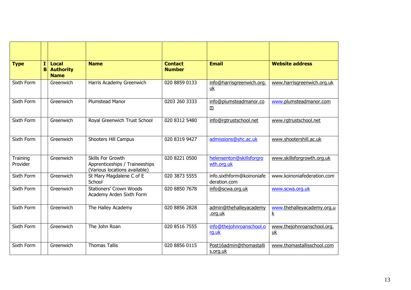| <b>Type</b>          | I | Local<br><b>B</b> Authority<br><b>Name</b> | <b>Name</b>                                                                          | <b>Contact</b><br><b>Number</b> | <b>Email</b>                              | <b>Website address</b>                        |
|----------------------|---|--------------------------------------------|--------------------------------------------------------------------------------------|---------------------------------|-------------------------------------------|-----------------------------------------------|
| Sixth Form           |   | Greenwich                                  | Harris Academy Greenwich                                                             | 020 8859 0133                   | info@harrisgreenwich.org.<br>uk           | www.harrisgreenwich.org.uk                    |
| Sixth Form           |   | Greenwich                                  | <b>Plumstead Manor</b>                                                               | 0203 260 3333                   | info@plumsteadmanor.co<br>m               | www.plumsteadmanor.com                        |
| Sixth Form           |   | Greenwich                                  | Royal Greenwich Trust School                                                         | 020 8312 5480                   | info@rgtrustschool.net                    | www.rgtrustschool.net                         |
| Sixth Form           |   | Greenwich                                  | Shooters Hill Campus                                                                 | 020 8319 9427                   | admissions@shc.ac.uk                      | www.shootershill.ac.uk                        |
| Training<br>Provider |   | Greenwich                                  | Skills For Growth<br>Apprenticeships / Traineeships<br>(Various locations available) | 020 8221 0500                   | helensenton@skillsforgro<br>wth.org.uk    | www.skillsforgrowth.org.uk                    |
| Sixth Form           |   | Greenwich                                  | St Mary Magdalene C of E<br>School                                                   | 020 3873 5555                   | info.sixthform@koinoniafe<br>deration.com | www.koinoniafederation.com                    |
| Sixth Form           |   | Greenwich                                  | <b>Stationers' Crown Woods</b><br>Academy Arden Sixth Form                           | 020 8850 7678                   | info@scwa.org.uk                          | www.scwa.org.uk                               |
| Sixth Form           |   | Greenwich                                  | The Halley Academy                                                                   | 020 8856 2828                   | admin@thehalleyacademy<br>.org.uk         | www.thehalleyacademy.org.u<br>$\underline{k}$ |
| Sixth Form           |   | Greenwich                                  | The John Roan                                                                        | 020 8516 7555                   | info@thejohnroanschool.o<br>rg.uk         | www.thejohnroanschool.org.<br><u>uk</u>       |
| Sixth Form           |   | Greenwich                                  | <b>Thomas Tallis</b>                                                                 | 020 8856 0115                   | Post16admin@thomastalli<br>s.org.uk       | www.thomastallisschool.com                    |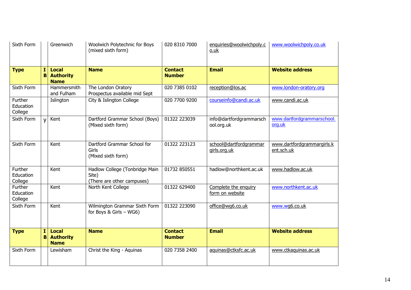| Sixth Form                      |              | Greenwich                                       | Woolwich Polytechnic for Boys<br>(mixed sixth form)                   | 020 8310 7000                   | enquiries@woolwichpoly.c<br>o.uk        | www.woolwichpoly.co.uk                   |
|---------------------------------|--------------|-------------------------------------------------|-----------------------------------------------------------------------|---------------------------------|-----------------------------------------|------------------------------------------|
| <b>Type</b>                     | 1.<br>B      | <b>Local</b><br><b>Authority</b><br><b>Name</b> | <b>Name</b>                                                           | <b>Contact</b><br><b>Number</b> | <b>Email</b>                            | <b>Website address</b>                   |
| Sixth Form                      |              | Hammersmith<br>and Fulham                       | The London Oratory<br>Prospectus available mid Sept                   | 020 7385 0102                   | reception@los.ac                        | www.london-oratory.org                   |
| Further<br>Education<br>College |              | Islington                                       | City & Islington College                                              | 020 7700 9200                   | courseinfo@candi.ac.uk                  | www.candi.ac.uk                          |
| Sixth Form                      | $\mathsf{v}$ | Kent                                            | Dartford Grammar School (Boys)<br>(Mixed sixth form)                  | 01322 223039                    | info@dartfordgrammarsch<br>ool.org.uk   | www.dartfordgrammarschool.<br>org.uk     |
| Sixth Form                      |              | Kent                                            | Dartford Grammar School for<br>Girls<br>(Mixed sixth form)            | 01322 223123                    | school@dartfordgrammar<br>girls.org.uk  | www.dartfordgrammargirls.k<br>ent.sch.uk |
| Further<br>Education<br>College |              | Kent                                            | Hadlow College (Tonbridge Main<br>Site)<br>(There are other campuses) | 01732 850551                    | hadlow@northkent.ac.uk                  | www.hadlow.ac.uk                         |
| Further<br>Education<br>College |              | Kent                                            | North Kent College                                                    | 01322 629400                    | Complete the enquiry<br>form on website | www.northkent.ac.uk                      |
| Sixth Form                      |              | Kent                                            | Wilmington Grammar Sixth Form<br>for Boys & Girls $-$ WG6)            | 01322 223090                    | office@wq6.co.uk                        | www.wg6.co.uk                            |
| <b>Type</b>                     | Ι.<br>B      | <b>Local</b><br><b>Authority</b><br><b>Name</b> | <b>Name</b>                                                           | <b>Contact</b><br><b>Number</b> | <b>Email</b>                            | <b>Website address</b>                   |
| Sixth Form                      |              | Lewisham                                        | Christ the King - Aquinas                                             | 020 7358 2400                   | aquinas@ctksfc.ac.uk                    | www.ctkaquinas.ac.uk                     |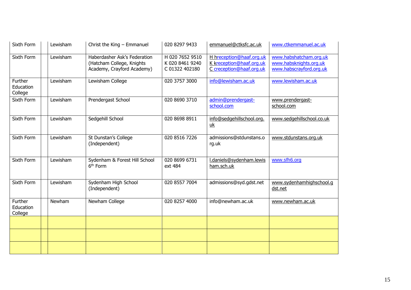| Sixth Form                      | Lewisham      | Christ the King $-$ Emmanuel                                                            | 020 8297 9433                                        | emmanuel@ctksfc.ac.uk                                                            | www.ctkemmanuel.ac.uk                                                       |
|---------------------------------|---------------|-----------------------------------------------------------------------------------------|------------------------------------------------------|----------------------------------------------------------------------------------|-----------------------------------------------------------------------------|
| Sixth Form                      | Lewisham      | Haberdasher Ask's Federation<br>(Hatcham College, Knights<br>Academy, Crayford Academy) | H 020 7652 9510<br>K 020 8461 9240<br>C 01322 402180 | H hreception@haaf.org.uk<br>K kreception@haaf.org.uk<br>C creception@haaf.org.uk | www.habshatcham.org.uk<br>www.habsknights.org.uk<br>www.habscrayford.org.uk |
| Further<br>Education<br>College | Lewisham      | Lewisham College                                                                        | 020 3757 3000                                        | info@lewisham.ac.uk                                                              | www.lewisham.ac.uk                                                          |
| Sixth Form                      | Lewisham      | Prendergast School                                                                      | 020 8690 3710                                        | admin@prendergast-<br>school.com                                                 | www.prendergast-<br>school.com                                              |
| Sixth Form                      | Lewisham      | Sedgehill School                                                                        | 020 8698 8911                                        | info@sedgehillschool.org.<br>$\underline{uk}$                                    | www.sedgehillschool.co.uk                                                   |
| Sixth Form                      | Lewisham      | St Dunstan's College<br>(Independent)                                                   | 020 8516 7226                                        | admissions@stdunstans.o<br>rg.uk                                                 | www.stdunstans.org.uk                                                       |
| Sixth Form                      | Lewisham      | Sydenham & Forest Hill School<br>6 <sup>th</sup> Form                                   | 020 8699 6731<br>ext 484                             | I.daniels@sydenham.lewis<br>ham.sch.uk                                           | www.sfh6.org                                                                |
| Sixth Form                      | Lewisham      | Sydenham High School<br>(Independent)                                                   | 020 8557 7004                                        | admissions@syd.gdst.net                                                          | www.sydenhamhighschool.g<br>dst.net                                         |
| Further<br>Education<br>College | <b>Newham</b> | Newham College                                                                          | 020 8257 4000                                        | info@newham.ac.uk                                                                | www.newham.ac.uk                                                            |
|                                 |               |                                                                                         |                                                      |                                                                                  |                                                                             |
|                                 |               |                                                                                         |                                                      |                                                                                  |                                                                             |
|                                 |               |                                                                                         |                                                      |                                                                                  |                                                                             |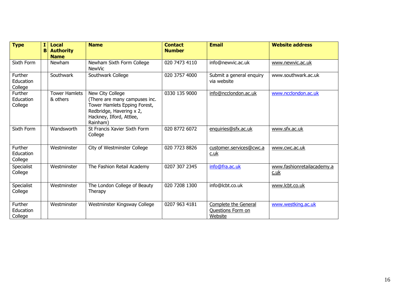| <b>Type</b>                     | I<br>B | <b>Local</b><br><b>Authority</b><br><b>Name</b> | <b>Name</b>                                                                                                                                           | <b>Contact</b><br><b>Number</b> | <b>Email</b>                                         | <b>Website address</b>                |
|---------------------------------|--------|-------------------------------------------------|-------------------------------------------------------------------------------------------------------------------------------------------------------|---------------------------------|------------------------------------------------------|---------------------------------------|
| Sixth Form                      |        | Newham                                          | Newham Sixth Form College<br><b>NewVic</b>                                                                                                            | 020 7473 4110                   | info@newvic.ac.uk                                    | www.newvic.ac.uk                      |
| Further<br>Education<br>College |        | Southwark                                       | Southwark College                                                                                                                                     | 020 3757 4000                   | Submit a general enquiry<br>via website              | www.southwark.ac.uk                   |
| Further<br>Education<br>College |        | <b>Tower Hamlets</b><br>& others                | New City College<br>(There are many campuses inc.<br>Tower Hamlets Epping Forest,<br>Redbridge, Havering x 2,<br>Hackney, Ilford, Attlee,<br>Rainham) | 0330 135 9000                   | info@ncclondon.ac.uk                                 | www.ncclondon.ac.uk                   |
| Sixth Form                      |        | Wandsworth                                      | St Francis Xavier Sixth Form<br>College                                                                                                               | 020 8772 6072                   | enquiries@sfx.ac.uk                                  | www.sfx.ac.uk                         |
| Further<br>Education<br>College |        | Westminster                                     | City of Westminster College                                                                                                                           | 020 7723 8826                   | customer.services@cwc.a<br><u>c.uk</u>               | www.cwc.ac.uk                         |
| Specialist<br>College           |        | Westminster                                     | The Fashion Retail Academy                                                                                                                            | 0207 307 2345                   | info@fra.ac.uk                                       | www.fashionretailacademy.a<br>$c.$ uk |
| Specialist<br>College           |        | Westminster                                     | The London College of Beauty<br>Therapy                                                                                                               | 020 7208 1300                   | info@lcbt.co.uk                                      | www.lcbt.co.uk                        |
| Further<br>Education<br>College |        | Westminster                                     | Westminster Kingsway College                                                                                                                          | 0207 963 4181                   | Complete the General<br>Questions Form on<br>Website | www.westking.ac.uk                    |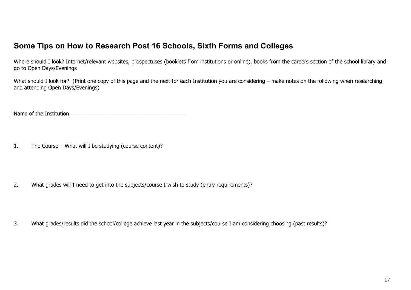# **Some Tips on How to Research Post 16 Schools, Sixth Forms and Colleges**

Where should I look? Internet/relevant websites, prospectuses (booklets from institutions or online), books from the careers section of the school library and go to Open Days/Evenings

What should I look for? (Print one copy of this page and the next for each Institution you are considering – make notes on the following when researching and attending Open Days/Evenings)

Name of the Institution

1. The Course – What will I be studying (course content)?

2. What grades will I need to get into the subjects/course I wish to study (entry requirements)?

3. What grades/results did the school/college achieve last year in the subjects/course I am considering choosing (past results)?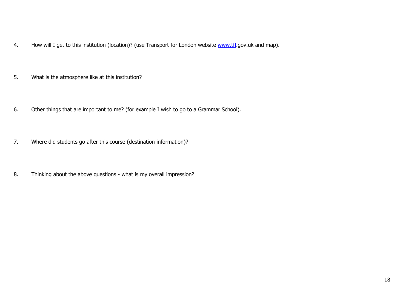- 4. How will I get to this institution (location)? (use Transport for London website [www.tfl.](http://www.tfl/)gov.uk and map).
- 5. What is the atmosphere like at this institution?
- 6. Other things that are important to me? (for example I wish to go to a Grammar School).
- 7. Where did students go after this course (destination information)?
- 8. Thinking about the above questions what is my overall impression?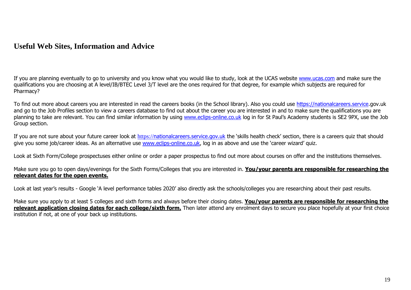### **Useful Web Sites, Information and Advice**

If you are planning eventually to go to university and you know what you would like to study, look at the UCAS website [www.ucas.com](http://www.ucas.com/) and make sure the qualifications you are choosing at A level/IB/BTEC Level 3/T level are the ones required for that degree, for example which subjects are required for Pharmacy?

To find out more about careers you are interested in read the careers books (in the School library). Also you could use [https://nationalcareers.service.](https://nationalcareers.service/)gov.uk and go to the Job Profiles section to view a careers database to find out about the career you are interested in and to make sure the qualifications you are planning to take are relevant. You can find similar information by using [www.eclips-online.co.uk](http://www.eclips-online.co.uk/) log in for St Paul's Academy students is SE2 9PX, use the Job Group section.

If you are not sure about your future career look at https://[nationalcareers.service.gov.uk](https://nationalcareers.service.gov.uk/) the 'skills health check' section, there is a careers quiz that should give you some job/career ideas. As an alternative use [www.eclips-online.co.uk](http://www.eclips-online.co.uk/), log in as above and use the 'career wizard' quiz.

Look at Sixth Form/College prospectuses either online or order a paper prospectus to find out more about courses on offer and the institutions themselves.

Make sure you go to open days/evenings for the Sixth Forms/Colleges that you are interested in. **You/your parents are responsible for researching the relevant dates for the open events.**

Look at last year's results - Google 'A level performance tables 2020' also directly ask the schools/colleges you are researching about their past results.

Make sure you apply to at least 5 colleges and sixth forms and always before their closing dates. **You/your parents are responsible for researching the relevant application closing dates for each college/sixth form.** Then later attend any enrolment days to secure you place hopefully at your first choice institution if not, at one of your back up institutions.